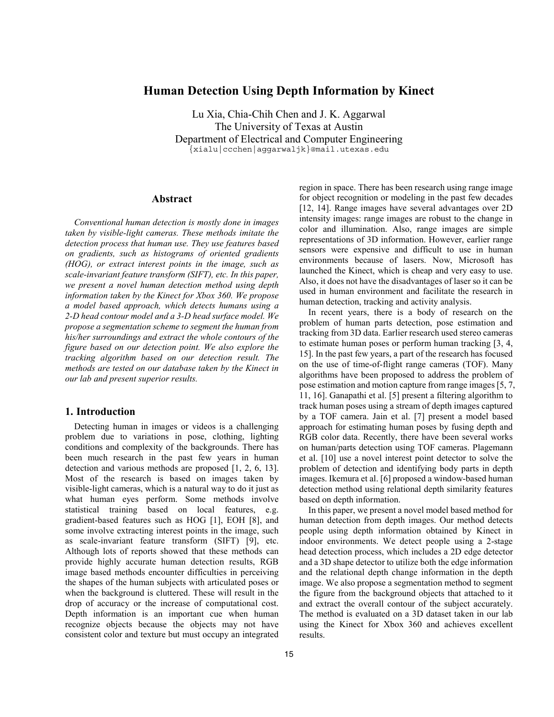# **Human Detection Using Depth Information by Kinect**

Lu Xia, Chia-Chih Chen and J. K. Aggarwal The University of Texas at Austin Department of Electrical and Computer Engineering {xialu|ccchen|aggarwaljk}@mail.utexas.edu

# **Abstract**

*Conventional human detection is mostly done in images taken by visible-light cameras. These methods imitate the detection process that human use. They use features based on gradients, such as histograms of oriented gradients (HOG), or extract interest points in the image, such as scale-invariant feature transform (SIFT), etc. In this paper, we present a novel human detection method using depth information taken by the Kinect for Xbox 360. We propose a model based approach, which detects humans using a 2-D head contour model and a 3-D head surface model. We propose a segmentation scheme to segment the human from his/her surroundings and extract the whole contours of the figure based on our detection point. We also explore the tracking algorithm based on our detection result. The methods are tested on our database taken by the Kinect in our lab and present superior results.* 

### **1. Introduction**

Detecting human in images or videos is a challenging problem due to variations in pose, clothing, lighting conditions and complexity of the backgrounds. There has been much research in the past few years in human detection and various methods are proposed [1, 2, 6, 13]. Most of the research is based on images taken by visible-light cameras, which is a natural way to do it just as what human eyes perform. Some methods involve statistical training based on local features, e.g. gradient-based features such as HOG [1], EOH [8], and some involve extracting interest points in the image, such as scale-invariant feature transform (SIFT) [9], etc. Although lots of reports showed that these methods can provide highly accurate human detection results, RGB image based methods encounter difficulties in perceiving the shapes of the human subjects with articulated poses or when the background is cluttered. These will result in the drop of accuracy or the increase of computational cost. Depth information is an important cue when human recognize objects because the objects may not have consistent color and texture but must occupy an integrated region in space. There has been research using range image for object recognition or modeling in the past few decades [12, 14]. Range images have several advantages over 2D intensity images: range images are robust to the change in color and illumination. Also, range images are simple representations of 3D information. However, earlier range sensors were expensive and difficult to use in human environments because of lasers. Now, Microsoft has launched the Kinect, which is cheap and very easy to use. Also, it does not have the disadvantages of laser so it can be used in human environment and facilitate the research in human detection, tracking and activity analysis.

In recent years, there is a body of research on the problem of human parts detection, pose estimation and tracking from 3D data. Earlier research used stereo cameras to estimate human poses or perform human tracking [3, 4, 15]. In the past few years, a part of the research has focused on the use of time-of-flight range cameras (TOF). Many algorithms have been proposed to address the problem of pose estimation and motion capture from range images [5, 7, 11, 16]. Ganapathi et al. [5] present a filtering algorithm to track human poses using a stream of depth images captured by a TOF camera. Jain et al. [7] present a model based approach for estimating human poses by fusing depth and RGB color data. Recently, there have been several works on human/parts detection using TOF cameras. Plagemann et al. [10] use a novel interest point detector to solve the problem of detection and identifying body parts in depth images. Ikemura et al. [6] proposed a window-based human detection method using relational depth similarity features based on depth information.

In this paper, we present a novel model based method for human detection from depth images. Our method detects people using depth information obtained by Kinect in indoor environments. We detect people using a 2-stage head detection process, which includes a 2D edge detector and a 3D shape detector to utilize both the edge information and the relational depth change information in the depth image. We also propose a segmentation method to segment the figure from the background objects that attached to it and extract the overall contour of the subject accurately. The method is evaluated on a 3D dataset taken in our lab using the Kinect for Xbox 360 and achieves excellent results.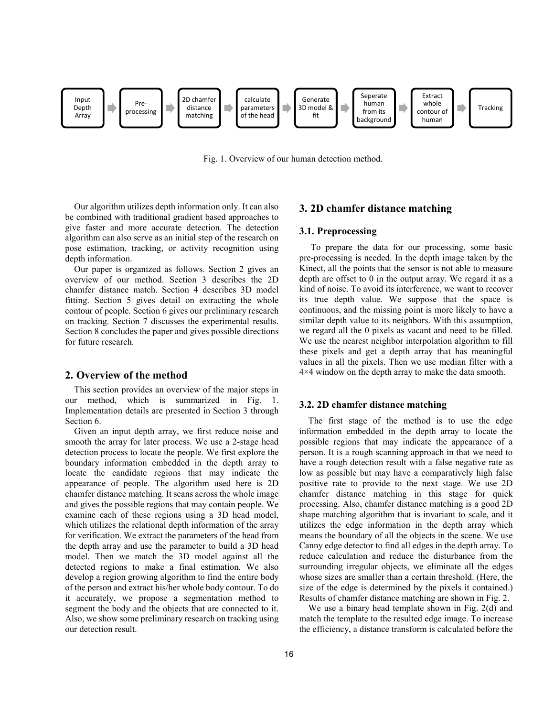

Fig. 1. Overview of our human detection method.

Our algorithm utilizes depth information only. It can also be combined with traditional gradient based approaches to give faster and more accurate detection. The detection algorithm can also serve as an initial step of the research on pose estimation, tracking, or activity recognition using depth information.

Our paper is organized as follows. Section 2 gives an overview of our method. Section 3 describes the 2D chamfer distance match. Section 4 describes 3D model fitting. Section 5 gives detail on extracting the whole contour of people. Section 6 gives our preliminary research on tracking. Section 7 discusses the experimental results. Section 8 concludes the paper and gives possible directions for future research.

#### **2. Overview of the method**

This section provides an overview of the major steps in our method, which is summarized in Fig. 1. Implementation details are presented in Section 3 through Section 6.

Given an input depth array, we first reduce noise and smooth the array for later process. We use a 2-stage head detection process to locate the people. We first explore the boundary information embedded in the depth array to locate the candidate regions that may indicate the appearance of people. The algorithm used here is 2D chamfer distance matching. It scans across the whole image and gives the possible regions that may contain people. We examine each of these regions using a 3D head model, which utilizes the relational depth information of the array for verification. We extract the parameters of the head from the depth array and use the parameter to build a 3D head model. Then we match the 3D model against all the detected regions to make a final estimation. We also develop a region growing algorithm to find the entire body of the person and extract his/her whole body contour. To do it accurately, we propose a segmentation method to segment the body and the objects that are connected to it. Also, we show some preliminary research on tracking using our detection result.

## **3. 2D chamfer distance matching**

#### **3.1. Preprocessing**

 To prepare the data for our processing, some basic pre-processing is needed. In the depth image taken by the Kinect, all the points that the sensor is not able to measure depth are offset to 0 in the output array. We regard it as a kind of noise. To avoid its interference, we want to recover its true depth value. We suppose that the space is continuous, and the missing point is more likely to have a similar depth value to its neighbors. With this assumption, we regard all the 0 pixels as vacant and need to be filled. We use the nearest neighbor interpolation algorithm to fill these pixels and get a depth array that has meaningful values in all the pixels. Then we use median filter with a 4×4 window on the depth array to make the data smooth.

#### **3.2. 2D chamfer distance matching**

The first stage of the method is to use the edge information embedded in the depth array to locate the possible regions that may indicate the appearance of a person. It is a rough scanning approach in that we need to have a rough detection result with a false negative rate as low as possible but may have a comparatively high false positive rate to provide to the next stage. We use 2D chamfer distance matching in this stage for quick processing. Also, chamfer distance matching is a good 2D shape matching algorithm that is invariant to scale, and it utilizes the edge information in the depth array which means the boundary of all the objects in the scene. We use Canny edge detector to find all edges in the depth array. To reduce calculation and reduce the disturbance from the surrounding irregular objects, we eliminate all the edges whose sizes are smaller than a certain threshold. (Here, the size of the edge is determined by the pixels it contained.) Results of chamfer distance matching are shown in Fig. 2.

We use a binary head template shown in Fig. 2(d) and match the template to the resulted edge image. To increase the efficiency, a distance transform is calculated before the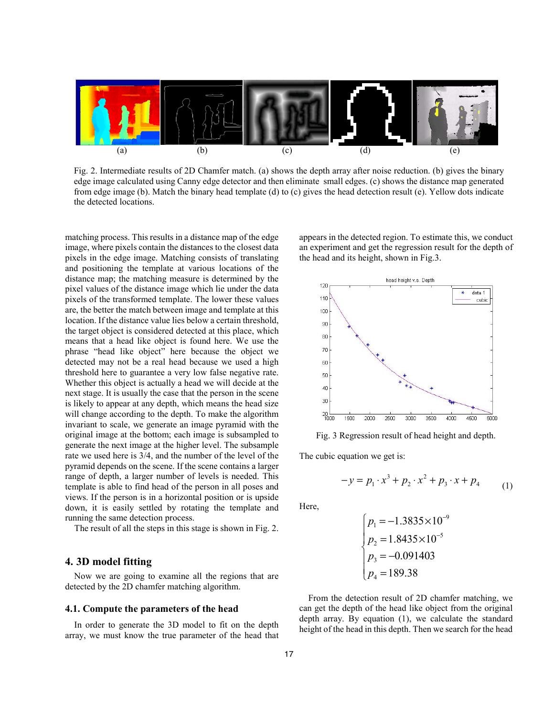

Fig. 2. Intermediate results of 2D Chamfer match. (a) shows the depth array after noise reduction. (b) gives the binary edge image calculated using Canny edge detector and then eliminate small edges. (c) shows the distance map generated from edge image (b). Match the binary head template (d) to (c) gives the head detection result (e). Yellow dots indicate the detected locations.

matching process. This results in a distance map of the edge image, where pixels contain the distances to the closest data pixels in the edge image. Matching consists of translating and positioning the template at various locations of the distance map; the matching measure is determined by the pixel values of the distance image which lie under the data pixels of the transformed template. The lower these values are, the better the match between image and template at this location. If the distance value lies below a certain threshold, the target object is considered detected at this place, which means that a head like object is found here. We use the phrase "head like object" here because the object we detected may not be a real head because we used a high threshold here to guarantee a very low false negative rate. Whether this object is actually a head we will decide at the next stage. It is usually the case that the person in the scene is likely to appear at any depth, which means the head size will change according to the depth. To make the algorithm invariant to scale, we generate an image pyramid with the original image at the bottom; each image is subsampled to generate the next image at the higher level. The subsample rate we used here is 3/4, and the number of the level of the pyramid depends on the scene. If the scene contains a larger range of depth, a larger number of levels is needed. This template is able to find head of the person in all poses and views. If the person is in a horizontal position or is upside down, it is easily settled by rotating the template and running the same detection process.

The result of all the steps in this stage is shown in Fig. 2.

### **4. 3D model fitting**

Now we are going to examine all the regions that are detected by the 2D chamfer matching algorithm.

#### **4.1. Compute the parameters of the head**

In order to generate the 3D model to fit on the depth array, we must know the true parameter of the head that appears in the detected region. To estimate this, we conduct an experiment and get the regression result for the depth of the head and its height, shown in Fig.3.



Fig. 3 Regression result of head height and depth.

The cubic equation we get is:

$$
-y = p_1 \cdot x^3 + p_2 \cdot x^2 + p_3 \cdot x + p_4 \tag{1}
$$

Here,

$$
\begin{cases}\np_1 = -1.3835 \times 10^{-9} \\
p_2 = 1.8435 \times 10^{-5} \\
p_3 = -0.091403 \\
p_4 = 189.38\n\end{cases}
$$

From the detection result of 2D chamfer matching, we can get the depth of the head like object from the original depth array. By equation (1), we calculate the standard height of the head in this depth. Then we search for the head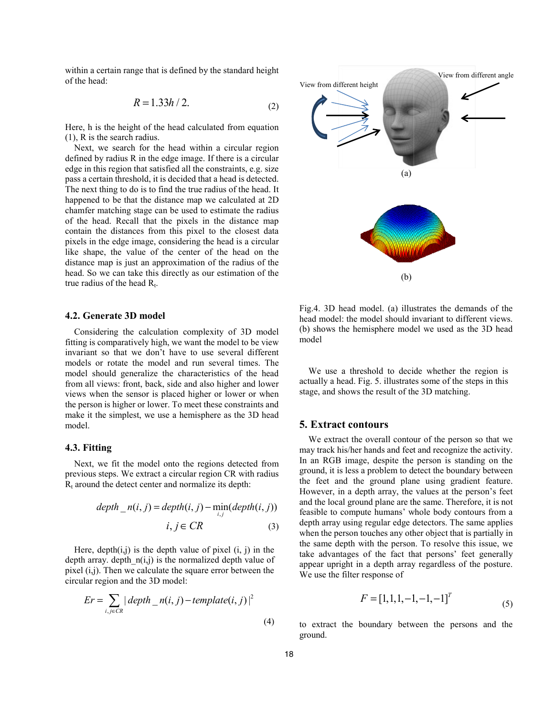within a certain range that is defined by the standard height of the head:

$$
R = 1.33h / 2. \tag{2}
$$

Here, h is the height of the head calcu lated from equation (1), R is the search radius.

Next, we search for the head within a circular region defined by radius R in the edge image. If there is a circular edge in this region that satisfied all the constraints, e.g. size pass a certain threshold, it is decided that a head is detected. The next thing to do is to find the true radius of the head. It happened to be that the distance map we calculated at 2D chamfer matching stage can be used to estimate the radius of the head. Recall that the pixels in the distance map contain the distances from this pixel to the closest data pixels in the edge image, considering the head is a circular like shape, the value of the center of the head on the distance map is just an approximation of the radius of the head. So we can take this directly as our estimation of the true radius of the head  $R_t$ .

### **4.2. Generate 3D model**

Considering the calculation complexity of 3D model fitting is comparatively high, we want th he model to be view invariant so that we don't have to us se several different models or rotate the model and run several times. The model should generalize the characteristics of the head from all views: front, back, side and also higher and lower views when the sensor is placed higher or lower or when the person is higher or lower. To meet these constraints and make it the simplest, we use a hemisphere as the 3D head model.

### **4.3. Fitting**

Next, we fit the model onto the regions detected from previous steps. We extract a circular region CR with radius  $R_t$  around the detect center and normalize its depth:

$$
depth_n(i, j) = depth(i, j) - \min_{i,j}(depth(i, j))
$$

$$
i, j \in CR
$$
 (3)

Here, depth $(i, j)$  is the depth value of pixel  $(i, j)$  in the depth array. depth  $n(i,j)$  is the normalized depth value of pixel  $(i, j)$ . Then we calculate the square error between the circular region and the 3D model:

$$
Er = \sum_{i,j \in CR} |depth_{n}(i,j) - template(i,j)|^{2}
$$
\n(4)



Fig.4. 3D head model. (a) illu strates the demands of the head model: the model should invariant to different views. (b) shows the hemisphere mod el we used as the 3D head model

We use a threshold to deci de whether the region is actually a head. Fig. 5. illustrates some of the steps in this stage, and shows the result of th he 3D matching.

### **5. Extract contours**

We extract the overall contour of the person so that we may track his/her hands and feet and recognize the activity. In an RGB image, despite the person is standing on the ground, it is less a problem to d etect the boundary between the feet and the ground plane using gradient feature. However, in a depth array, the values at the person's feet and the local ground plane are the same. Therefore, it is not feasible to compute humans' whole body contours from a depth array using regular edge d detectors. The same applies when the person touches any other object that is partially in the same depth with the person n. To resolve this issue, we take advantages of the fact th hat persons' feet generally appear upright in a depth array regardless of the posture. We use the filter response of

$$
F = [1, 1, 1, -1, -1, -1]^T
$$
\n(5)

to extract the boundary between the persons and the ground.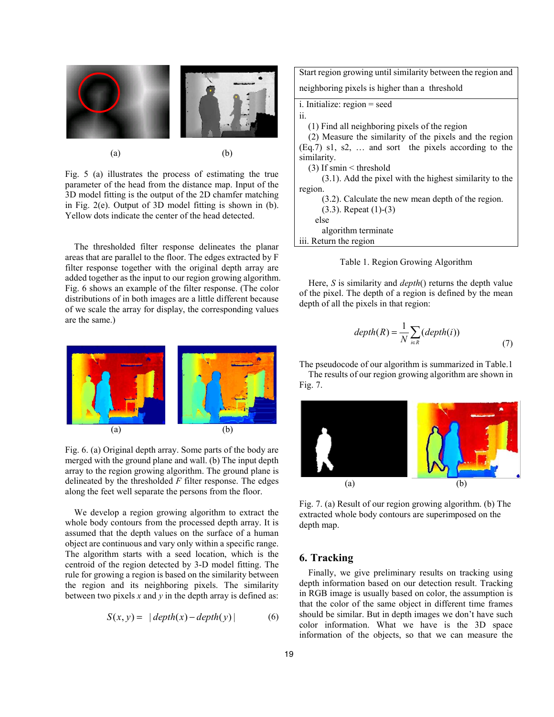

Fig. 5 (a) illustrates the process of estimating the true parameter of the head from the distance map. Input of the 3D model fitting is the output of the 2D chamfer matching in Fig. 2(e). Output of 3D model fitting is shown in (b). Yellow dots indicate the center of the head detected.

The thresholded filter response delineates the planar areas that are parallel to the floor. The edges extracted by F filter response together with the original depth array are added together as the input to our region growing algorithm. Fig. 6 shows an example of the filter response. (The color distributions of in both images are a little different because of we scale the array for display, the corresponding values are the same.)



Fig. 6. (a) Original depth array. Some parts of the body are merged with the ground plane and wall. (b) The input depth array to the region growing algorithm. The ground plane is delineated by the thresholded *F* filter response. The edges along the feet well separate the persons from the floor.

We develop a region growing algorithm to extract the whole body contours from the processed depth array. It is assumed that the depth values on the surface of a human object are continuous and vary only within a specific range. The algorithm starts with a seed location, which is the centroid of the region detected by 3-D model fitting. The rule for growing a region is based on the similarity between the region and its neighboring pixels. The similarity between two pixels  $x$  and  $y$  in the depth array is defined as:

$$
S(x, y) = |depth(x) - depth(y)|
$$
 (6)

Start region growing until similarity between the region and

neighboring pixels is higher than a threshold

i. Initialize: region = seed

ii.

(1) Find all neighboring pixels of the region

(2) Measure the similarity of the pixels and the region (Eq.7) s1, s2, … and sort the pixels according to the similarity.

(3) If smin < threshold

 (3.1). Add the pixel with the highest similarity to the region.

> (3.2). Calculate the new mean depth of the region. (3.3). Repeat (1)-(3)

 else algorithm terminate

iii. Return the region

### Table 1. Region Growing Algorithm

Here, *S* is similarity and *depth*() returns the depth value of the pixel. The depth of a region is defined by the mean depth of all the pixels in that region:

$$
depth(R) = \frac{1}{N} \sum_{i \in R} (depth(i))
$$
\n(7)

The pseudocode of our algorithm is summarized in Table.1

The results of our region growing algorithm are shown in Fig. 7.



Fig. 7. (a) Result of our region growing algorithm. (b) The extracted whole body contours are superimposed on the depth map.

# **6. Tracking**

Finally, we give preliminary results on tracking using depth information based on our detection result. Tracking in RGB image is usually based on color, the assumption is that the color of the same object in different time frames should be similar. But in depth images we don't have such color information. What we have is the 3D space information of the objects, so that we can measure the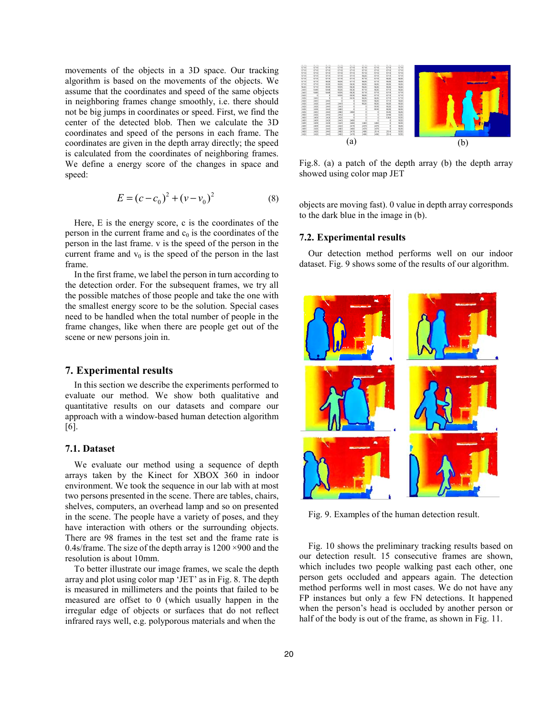movements of the objects in a 3D space. Our tracking algorithm is based on the movements of the objects. We assume that the coordinates and speed of the same objects in neighboring frames change smoothly, i.e. there should not be big jumps in coordinates or speed. First, we find the center of the detected blob. Then we calculate the 3D coordinates and speed of the persons in each frame. The coordinates are given in the depth array directly; the speed is calculated from the coordinates of neighboring frames. We define a energy score of the changes in space and speed:

$$
E = (c - c_0)^2 + (v - v_0)^2
$$
 (8)

Here, E is the energy score, c is the coordinates of the person in the current frame and  $c_0$  is the coordinates of the person in the last frame. v is the speed of the person in the current frame and  $v_0$  is the speed of the person in the last frame.

In the first frame, we label the person in turn according to the detection order. For the subsequent frames, we try all the possible matches of those people and take the one with the smallest energy score to be the solution. Special cases need to be handled when the total number of people in the frame changes, like when there are people get out of the scene or new persons join in.

### **7. Experimental results**

In this section we describe the experiments performed to evaluate our method. We show both qualitative and quantitative results on our datasets and compare our approach with a window-based human detection algorithm [6].

### **7.1. Dataset**

We evaluate our method using a sequence of depth arrays taken by the Kinect for XBOX 360 in indoor environment. We took the sequence in our lab with at most two persons presented in the scene. There are tables, chairs, shelves, computers, an overhead lamp and so on presented in the scene. The people have a variety of poses, and they have interaction with others or the surrounding objects. There are 98 frames in the test set and the frame rate is 0.4s/frame. The size of the depth array is 1200 ×900 and the resolution is about 10mm.

To better illustrate our image frames, we scale the depth array and plot using color map 'JET' as in Fig. 8. The depth is measured in millimeters and the points that failed to be measured are offset to 0 (which usually happen in the irregular edge of objects or surfaces that do not reflect infrared rays well, e.g. polyporous materials and when the



Fig.8. (a) a patch of the depth array (b) the depth array showed using color map JET

objects are moving fast). 0 value in depth array corresponds to the dark blue in the image in (b).

#### **7.2. Experimental results**

Our detection method performs well on our indoor dataset. Fig. 9 shows some of the results of our algorithm.



Fig. 9. Examples of the human detection result.

Fig. 10 shows the preliminary tracking results based on our detection result. 15 consecutive frames are shown, which includes two people walking past each other, one person gets occluded and appears again. The detection method performs well in most cases. We do not have any FP instances but only a few FN detections. It happened when the person's head is occluded by another person or half of the body is out of the frame, as shown in Fig. 11.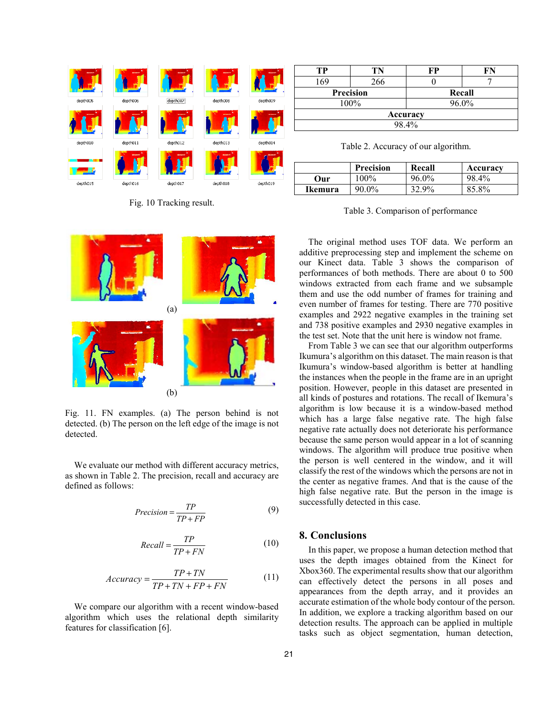

Fig. 10 Tracking result.



Fig. 11. FN examples. (a) The person behind is not detected. (b) The person on the left edge of the image is not detected.

We evaluate our method with different accuracy metrics, as shown in Table 2. The precision, recall and accuracy are defined as follows:

$$
Precision = \frac{TP}{TP + FP}
$$
 (9)

$$
Recall = \frac{TP}{TP + FN}
$$
 (10)

$$
Accuracy = \frac{TP + TN}{TP + TN + FP + FN}
$$
 (11)

We compare our algorithm with a recent window-based algorithm which uses the relational depth similarity features for classification [6].

| TР        | ΓN  | FP     | FR |  |
|-----------|-----|--------|----|--|
| 169       | 266 |        |    |  |
| Precision |     | Recall |    |  |
| 100%      |     | 96.0%  |    |  |
| Accuracy  |     |        |    |  |
| 98.4%     |     |        |    |  |

Table 2. Accuracy of our algorithm.

|         | <b>Precision</b> | Recall | Accuracy |
|---------|------------------|--------|----------|
| Our     | $100\%$          | 96.0%  | 98.4%    |
| Ikemura | 90.0%            | 32.9%  | 85.8%    |

Table 3. Comparison of performance

The original method uses TOF data. We perform an additive preprocessing step and implement the scheme on our Kinect data. Table 3 shows the comparison of performances of both methods. There are about 0 to 500 windows extracted from each frame and we subsample them and use the odd number of frames for training and even number of frames for testing. There are 770 positive examples and 2922 negative examples in the training set and 738 positive examples and 2930 negative examples in the test set. Note that the unit here is window not frame.

From Table 3 we can see that our algorithm outperforms Ikumura's algorithm on this dataset. The main reason is that Ikumura's window-based algorithm is better at handling the instances when the people in the frame are in an upright position. However, people in this dataset are presented in all kinds of postures and rotations. The recall of Ikemura's algorithm is low because it is a window-based method which has a large false negative rate. The high false negative rate actually does not deteriorate his performance because the same person would appear in a lot of scanning windows. The algorithm will produce true positive when the person is well centered in the window, and it will classify the rest of the windows which the persons are not in the center as negative frames. And that is the cause of the high false negative rate. But the person in the image is successfully detected in this case.

## **8. Conclusions**

In this paper, we propose a human detection method that uses the depth images obtained from the Kinect for Xbox360. The experimental results show that our algorithm can effectively detect the persons in all poses and appearances from the depth array, and it provides an accurate estimation of the whole body contour of the person. In addition, we explore a tracking algorithm based on our detection results. The approach can be applied in multiple tasks such as object segmentation, human detection,